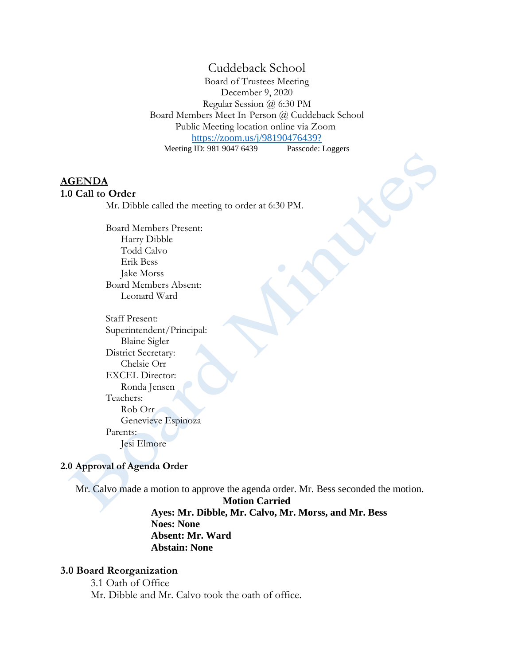# Cuddeback School

Board of Trustees Meeting December 9, 2020 Regular Session @ 6:30 PM Board Members Meet In-Person @ Cuddeback School Public Meeting location online via Zoom <https://zoom.us/j/98190476439?><br>ID: 981 9047 6439 Passcode: Loggers Meeting ID: 981 9047 6439

### **AGENDA**

#### **1.0 Call to Order**

Mr. Dibble called the meeting to order at 6:30 PM.

Board Members Present: Harry Dibble Todd Calvo Erik Bess Jake Morss Board Members Absent: Leonard Ward

Staff Present: Superintendent/Principal: Blaine Sigler District Secretary: Chelsie Orr EXCEL Director: Ronda Jensen Teachers: Rob Orr Genevieve Espinoza Parents: Jesi Elmore

#### **2.0 Approval of Agenda Order**

Mr. Calvo made a motion to approve the agenda order. Mr. Bess seconded the motion.

**Motion Carried Ayes: Mr. Dibble, Mr. Calvo, Mr. Morss, and Mr. Bess Noes: None Absent: Mr. Ward Abstain: None**

#### **3.0 Board Reorganization**

3.1 Oath of Office Mr. Dibble and Mr. Calvo took the oath of office.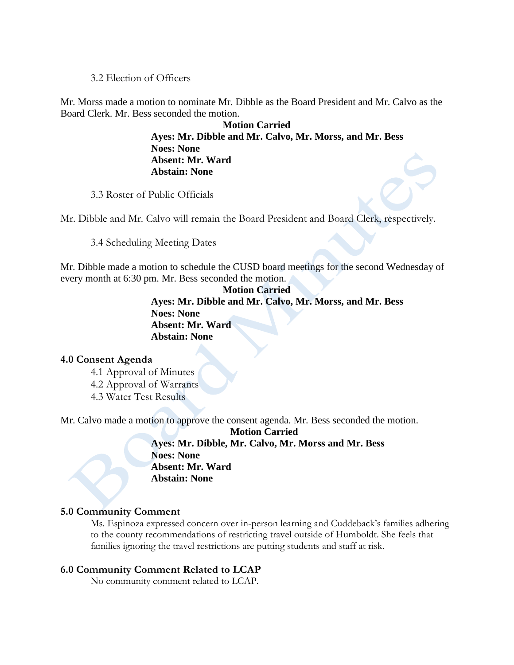### 3.2 Election of Officers

Mr. Morss made a motion to nominate Mr. Dibble as the Board President and Mr. Calvo as the Board Clerk. Mr. Bess seconded the motion.

> **Motion Carried Ayes: Mr. Dibble and Mr. Calvo, Mr. Morss, and Mr. Bess Noes: None Absent: Mr. Ward Abstain: None**

3.3 Roster of Public Officials

Mr. Dibble and Mr. Calvo will remain the Board President and Board Clerk, respectively.

3.4 Scheduling Meeting Dates

Mr. Dibble made a motion to schedule the CUSD board meetings for the second Wednesday of every month at 6:30 pm. Mr. Bess seconded the motion.

> **Motion Carried Ayes: Mr. Dibble and Mr. Calvo, Mr. Morss, and Mr. Bess Noes: None Absent: Mr. Ward Abstain: None**

### **4.0 Consent Agenda**

4.1 Approval of Minutes 4.2 Approval of Warrants 4.3 Water Test Results

Mr. Calvo made a motion to approve the consent agenda. Mr. Bess seconded the motion.

**Motion Carried Ayes: Mr. Dibble, Mr. Calvo, Mr. Morss and Mr. Bess Noes: None Absent: Mr. Ward Abstain: None**

### **5.0 Community Comment**

Ms. Espinoza expressed concern over in-person learning and Cuddeback's families adhering to the county recommendations of restricting travel outside of Humboldt. She feels that families ignoring the travel restrictions are putting students and staff at risk.

# **6.0 Community Comment Related to LCAP**

No community comment related to LCAP.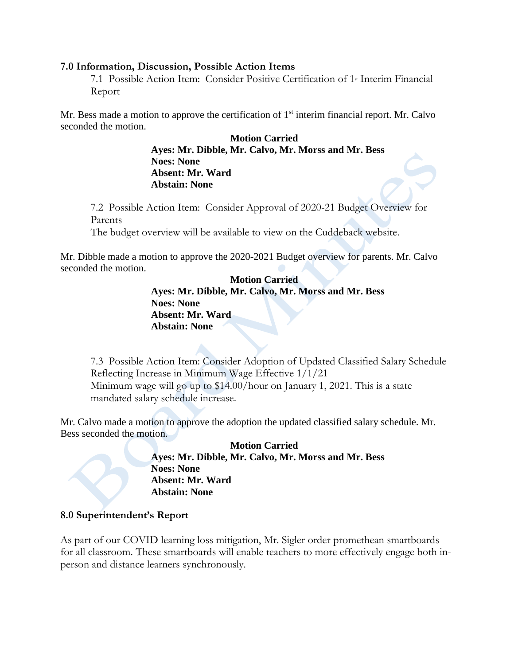### **7.0 Information, Discussion, Possible Action Items**

7.1 Possible Action Item: Consider Positive Certification of 1<sup>st</sup> Interim Financial Report

Mr. Bess made a motion to approve the certification of  $1<sup>st</sup>$  interim financial report. Mr. Calvo seconded the motion.

> **Motion Carried Ayes: Mr. Dibble, Mr. Calvo, Mr. Morss and Mr. Bess Noes: None Absent: Mr. Ward Abstain: None**

7.2 Possible Action Item: Consider Approval of 2020-21 Budget Overview for Parents

The budget overview will be available to view on the Cuddeback website.

Mr. Dibble made a motion to approve the 2020-2021 Budget overview for parents. Mr. Calvo seconded the motion.

> **Motion Carried Ayes: Mr. Dibble, Mr. Calvo, Mr. Morss and Mr. Bess Noes: None Absent: Mr. Ward Abstain: None**

7.3 Possible Action Item: Consider Adoption of Updated Classified Salary Schedule Reflecting Increase in Minimum Wage Effective 1/1/21 Minimum wage will go up to \$14.00/hour on January 1, 2021. This is a state mandated salary schedule increase.

Mr. Calvo made a motion to approve the adoption the updated classified salary schedule. Mr. Bess seconded the motion.

> **Motion Carried Ayes: Mr. Dibble, Mr. Calvo, Mr. Morss and Mr. Bess Noes: None Absent: Mr. Ward Abstain: None**

# **8.0 Superintendent's Report**

As part of our COVID learning loss mitigation, Mr. Sigler order promethean smartboards for all classroom. These smartboards will enable teachers to more effectively engage both inperson and distance learners synchronously.